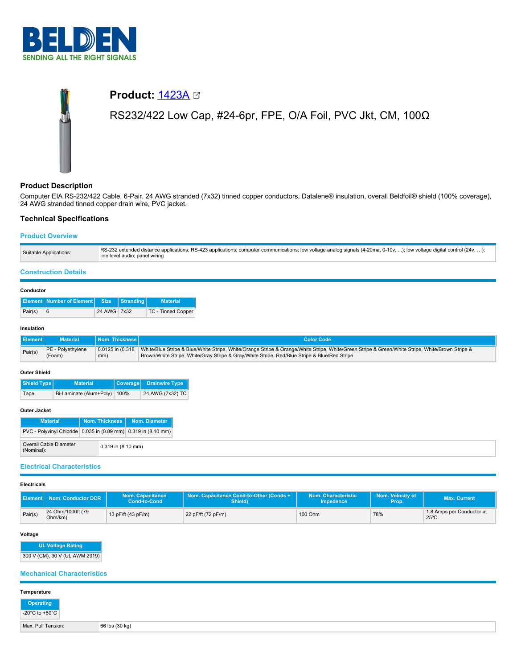

# **Product:** [1423A](https://catalog.belden.com/index.cfm?event=pd&p=PF_1423A&tab=downloads) RS232/422 Low Cap, #24-6pr, FPE, O/A Foil, PVC Jkt, CM, 100Ω

# **Product Description**

Computer EIA RS-232/422 Cable, 6-Pair, 24 AWG stranded (7x32) tinned copper conductors, Datalene® insulation, overall Beldfoil® shield (100% coverage), 24 AWG stranded tinned copper drain wire, PVC jacket.

# **Technical Specifications**

# **Product Overview**

| Suitable Applications: | RS-232 extended distance applications; RS-423 applications; computer communications; low voltage analog signals (4-20ma, 0-10v, ); low voltage digital control (24v, );<br>line level audio; panel wiring |
|------------------------|-----------------------------------------------------------------------------------------------------------------------------------------------------------------------------------------------------------|
|------------------------|-----------------------------------------------------------------------------------------------------------------------------------------------------------------------------------------------------------|

### **Construction Details**

#### **Conductor**

|         | <b>Element   Number of Element   Size   Stranding  </b> |             | <b>Material</b>    |
|---------|---------------------------------------------------------|-------------|--------------------|
| Pair(s) | <b>6</b>                                                | 24 AWG 7x32 | TC - Tinned Copper |

#### **Insulation**

| <b>Element</b> | <b>Material</b>             | ↓ │ Nom. Thickness │ ∖ | Color Code                                                                                                                                                                                                                                                         |
|----------------|-----------------------------|------------------------|--------------------------------------------------------------------------------------------------------------------------------------------------------------------------------------------------------------------------------------------------------------------|
| Pair(s)        | PE - Polyethylene<br>(Foam) | mm)                    | 0.0125 in (0.318   White/Blue Stripe & Blue/White Stripe, White/Orange Stripe & Orange/White Stripe, White/Green Stripe & Green/White Stripe, White/Brown Stripe &<br>Brown/White Stripe, White/Gray Stripe & Gray/White Stripe, Red/Blue Stripe & Blue/Red Stripe |

#### **Outer Shield**

| Shield Type | <b>Material</b>              | Coverage Drainwire Type |
|-------------|------------------------------|-------------------------|
| Tape        | Bi-Laminate (Alum+Poly) 100% | 24 AWG (7x32) TC        |

## **Outer Jacket**

| <b>Material</b>                                                |                        | Nom. Thickness   Nom. Diameter |
|----------------------------------------------------------------|------------------------|--------------------------------|
| PVC - Polyvinyl Chloride 0.035 in (0.89 mm) 0.319 in (8.10 mm) |                        |                                |
| Overall Cable Diameter<br>(Nominal):                           | $0.319$ in $(8.10$ mm) |                                |

# **Electrical Characteristics**

#### **Electricals**

|         | <b>Nom. Conductor DCR</b>       | Nom. Capacitance<br><b>Cond-to-Cond</b> | Nom. Capacitance Cond-to-Other (Conds +<br>Shield) | Nom. Characteristic<br><b>Impedence</b> | Nom. Velocity of<br>Prop. | Max. Current'                               |
|---------|---------------------------------|-----------------------------------------|----------------------------------------------------|-----------------------------------------|---------------------------|---------------------------------------------|
| Pair(s) | 24 Ohm/1000ft (79<br>$Ohm/km$ ) | 13 pF/ft $(43 \text{ pF/m})$            | 22 pF/ft (72 pF/m)                                 | 100 Ohm                                 | 78%                       | 1.8 Amps per Conductor at<br>$25^{\circ}$ C |

#### **Voltage**

**UL Voltage Rating** 300 V (CM), 30 V (UL AWM 2919)

# **Mechanical Characteristics**

| Temperature                                                                                                     |                |
|-----------------------------------------------------------------------------------------------------------------|----------------|
| $\begin{array}{ c c }\n\hline\n\text{Operating} \\ \hline\n-20^\circ\text{C to +80}^\circ\text{C}\n\end{array}$ |                |
| Max. Pull Tension:                                                                                              | 66 lbs (30 kg) |